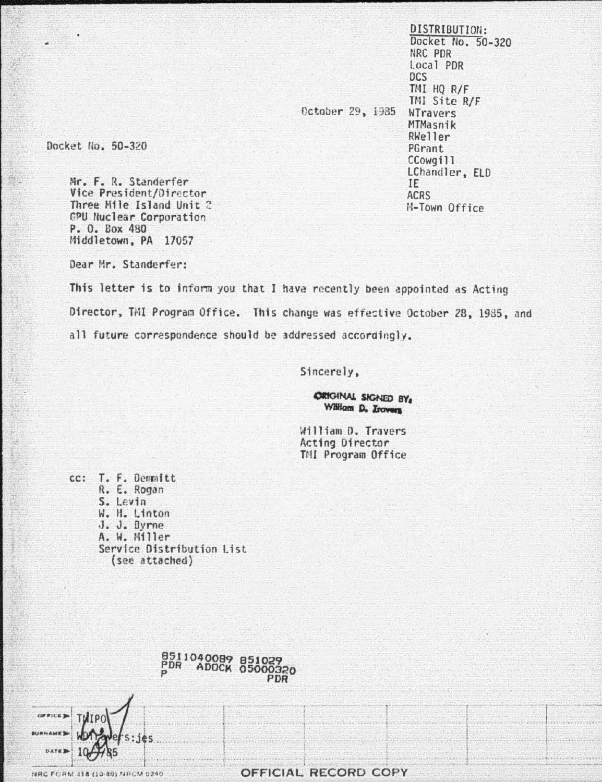DISTRIBUTION: Docket No. 50-320 NRC PDR Local PDR DCS TMI HQ R/F TMI Site R/F October 29, 1985 WTravers MTMasnik RWeller PGrant CCowgill LChandler, ELD IE ACRS M-Town Office

Docket No. 50-320

Mr. F. R. Standerfer Vice President/Director Three Mile Island Unit 2 GPU Nuclear Corporation P. O. Box 480 Middletown, PA 17057

Dear Mr. Standerfer:

This letter is to inform you that I have recently been appointed as Acting Director, TMI Program Office. This change was effective October 28, 1985, and all future correspondence should be addressed accordingly.

Sincerely,

**ORIGINAL SIGNED BY:** William D. Irovers

William D. Travers Acting Director TMI Program Office

cc: T. F. Demnitt R. E. Rogan S. Levin W. H. Linton J. J. Byrne A. W. Miller Service Distribution List (see attached)





NRC FORM 318 (10-80) NRCM 0240

OFFICIAL RECORD COPY